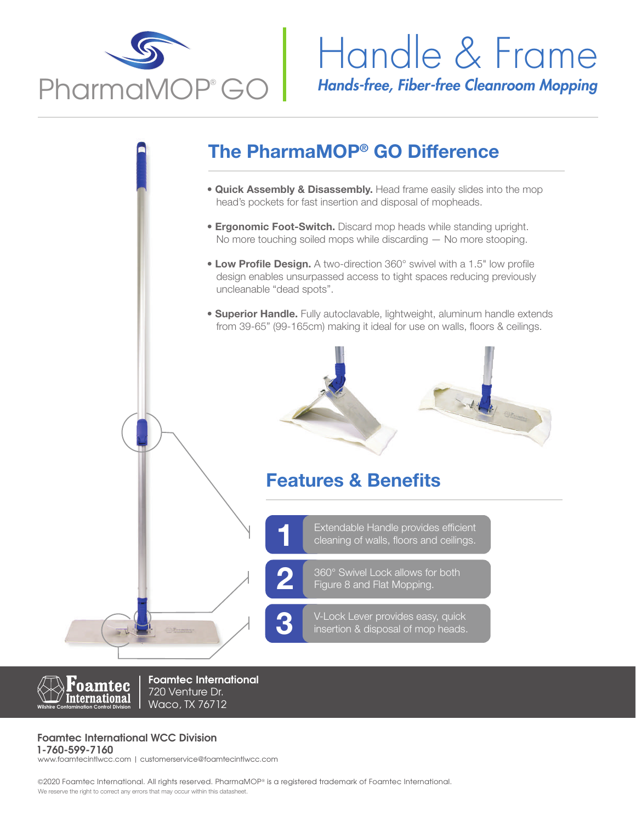

## *Hands-free, Fiber-free Cleanroom Mopping* Handle & Frame

## The PharmaMOP® GO Difference

- **Quick Assembly & Disassembly.** Head frame easily slides into the mop head's pockets for fast insertion and disposal of mopheads.
- **Ergonomic Foot-Switch.** Discard mop heads while standing upright. No more touching soiled mops while discarding — No more stooping.
- Low Profile Design. A two-direction 360° swivel with a 1.5" low profile design enables unsurpassed access to tight spaces reducing previously uncleanable "dead spots".
- **Superior Handle.** Fully autoclavable, lightweight, aluminum handle extends from 39-65" (99-165cm) making it ideal for use on walls, floors & ceilings.



### Features & Benefits

Extendable Handle provides efficient<br>1 cleaning of walls, floors and ceilings.

360° Swivel Lock allows for both<br>Figure 8 and Flat Mopping.

V-Lock Lever provides easy, quick<br>insertion & disposal of mop heads.



**Foamtec International** 720 Venture Dr. Waco, TX 76712

### **Foamtec International WCC Division**

**1-760-599-7160** www.foamtecintlwcc.com | customerservice@foamtecintlwcc.com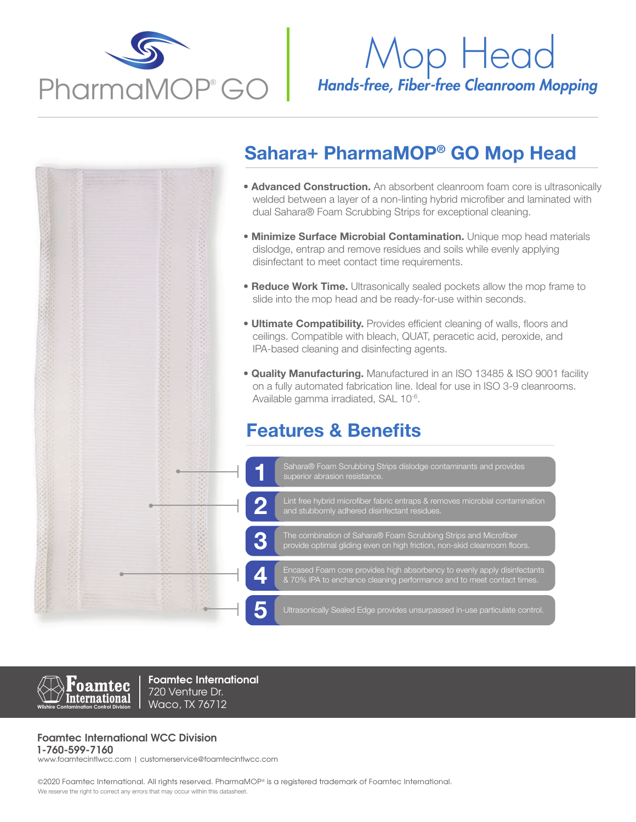

# Mop Head

## Sahara+ PharmaMOP® GO Mop Head

- **Advanced Construction.** An absorbent cleanroom foam core is ultrasonically welded between a layer of a non-linting hybrid microfiber and laminated with dual Sahara® Foam Scrubbing Strips for exceptional cleaning.
- **Minimize Surface Microbial Contamination.** Unique mop head materials dislodge, entrap and remove residues and soils while evenly applying disinfectant to meet contact time requirements.
- Reduce Work Time. Ultrasonically sealed pockets allow the mop frame to slide into the mop head and be ready-for-use within seconds.
- **Ultimate Compatibility.** Provides efficient cleaning of walls, floors and ceilings. Compatible with bleach, QUAT, peracetic acid, peroxide, and IPA-based cleaning and disinfecting agents.
- **Quality Manufacturing.** Manufactured in an ISO 13485 & ISO 9001 facility on a fully automated fabrication line. Ideal for use in ISO 3-9 cleanrooms. Available gamma irradiated, SAL 10-6.

### Features & Benefits





**Foamtec International** 720 Venture Dr. Waco, TX 76712

### **Foamtec International WCC Division**

**1-760-599-7160** www.foamtecintlwcc.com | customerservice@foamtecintlwcc.com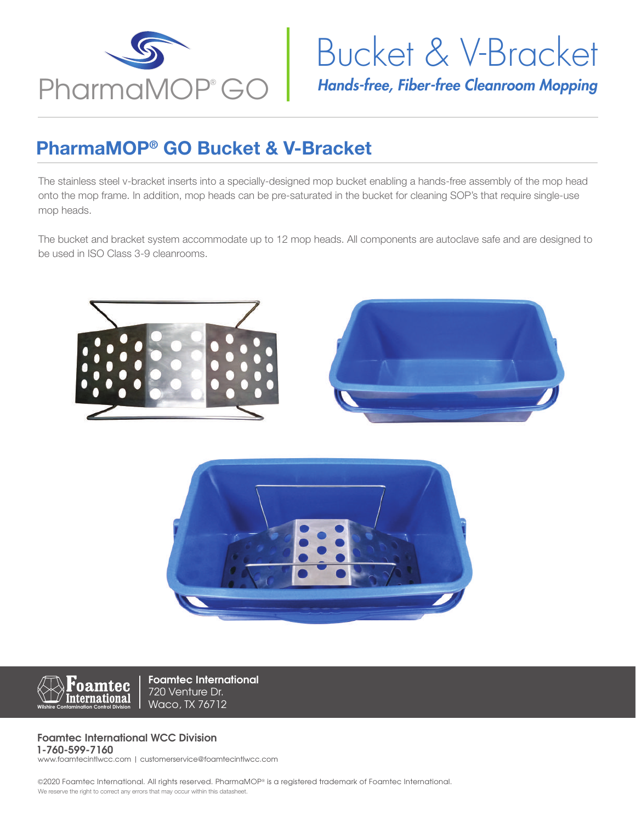

## Bucket & V-Bracket

## PharmaMOP® GO Bucket & V-Bracket

The stainless steel v-bracket inserts into a specially-designed mop bucket enabling a hands-free assembly of the mop head onto the mop frame. In addition, mop heads can be pre-saturated in the bucket for cleaning SOP's that require single-use mop heads.

The bucket and bracket system accommodate up to 12 mop heads. All components are autoclave safe and are designed to be used in ISO Class 3-9 cleanrooms.







**Foamtec International** 720 Venture Dr. Waco, TX 76712

#### **Foamtec International WCC Division 1-760-599-7160**

www.foamtecintlwcc.com | customerservice@foamtecintlwcc.com